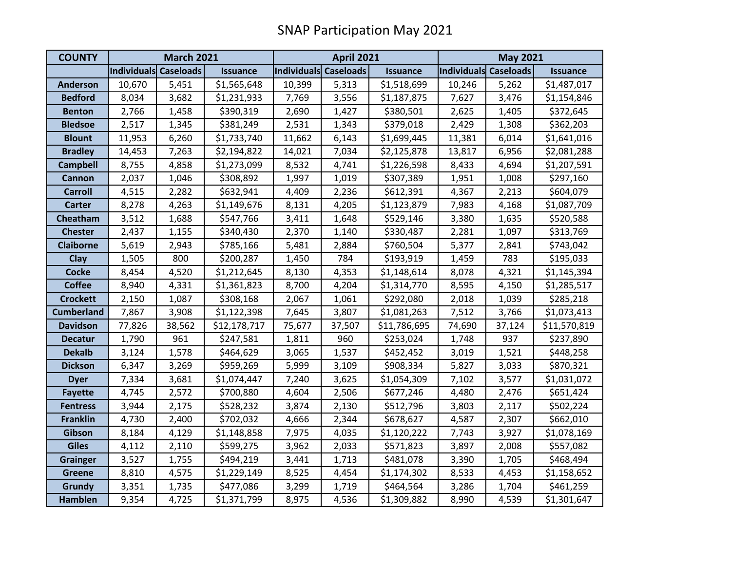| <b>COUNTY</b>     | <b>March 2021</b>     |        |                 | <b>April 2021</b>     |        |                 | <b>May 2021</b>       |        |                 |
|-------------------|-----------------------|--------|-----------------|-----------------------|--------|-----------------|-----------------------|--------|-----------------|
|                   | Individuals Caseloads |        | <b>Issuance</b> | Individuals Caseloads |        | <b>Issuance</b> | Individuals Caseloads |        | <b>Issuance</b> |
| <b>Anderson</b>   | 10,670                | 5,451  | \$1,565,648     | 10,399                | 5,313  | \$1,518,699     | 10,246                | 5,262  | \$1,487,017     |
| <b>Bedford</b>    | 8,034                 | 3,682  | \$1,231,933     | 7,769                 | 3,556  | \$1,187,875     | 7,627                 | 3,476  | \$1,154,846     |
| <b>Benton</b>     | 2,766                 | 1,458  | \$390,319       | 2,690                 | 1,427  | \$380,501       | 2,625                 | 1,405  | \$372,645       |
| <b>Bledsoe</b>    | 2,517                 | 1,345  | \$381,249       | 2,531                 | 1,343  | \$379,018       | 2,429                 | 1,308  | \$362,203       |
| <b>Blount</b>     | 11,953                | 6,260  | \$1,733,740     | 11,662                | 6,143  | \$1,699,445     | 11,381                | 6,014  | \$1,641,016     |
| <b>Bradley</b>    | 14,453                | 7,263  | \$2,194,822     | 14,021                | 7,034  | \$2,125,878     | 13,817                | 6,956  | \$2,081,288     |
| <b>Campbell</b>   | 8,755                 | 4,858  | \$1,273,099     | 8,532                 | 4,741  | \$1,226,598     | 8,433                 | 4,694  | \$1,207,591     |
| Cannon            | 2,037                 | 1,046  | \$308,892       | 1,997                 | 1,019  | \$307,389       | 1,951                 | 1,008  | \$297,160       |
| <b>Carroll</b>    | 4,515                 | 2,282  | \$632,941       | 4,409                 | 2,236  | \$612,391       | 4,367                 | 2,213  | \$604,079       |
| <b>Carter</b>     | 8,278                 | 4,263  | \$1,149,676     | 8,131                 | 4,205  | \$1,123,879     | 7,983                 | 4,168  | \$1,087,709     |
| Cheatham          | 3,512                 | 1,688  | \$547,766       | 3,411                 | 1,648  | \$529,146       | 3,380                 | 1,635  | \$520,588       |
| <b>Chester</b>    | 2,437                 | 1,155  | \$340,430       | 2,370                 | 1,140  | \$330,487       | 2,281                 | 1,097  | \$313,769       |
| <b>Claiborne</b>  | 5,619                 | 2,943  | \$785,166       | 5,481                 | 2,884  | \$760,504       | 5,377                 | 2,841  | \$743,042       |
| <b>Clay</b>       | 1,505                 | 800    | \$200,287       | 1,450                 | 784    | \$193,919       | 1,459                 | 783    | \$195,033       |
| <b>Cocke</b>      | 8,454                 | 4,520  | \$1,212,645     | 8,130                 | 4,353  | \$1,148,614     | 8,078                 | 4,321  | \$1,145,394     |
| <b>Coffee</b>     | 8,940                 | 4,331  | \$1,361,823     | 8,700                 | 4,204  | \$1,314,770     | 8,595                 | 4,150  | \$1,285,517     |
| <b>Crockett</b>   | 2,150                 | 1,087  | \$308,168       | 2,067                 | 1,061  | \$292,080       | 2,018                 | 1,039  | \$285,218       |
| <b>Cumberland</b> | 7,867                 | 3,908  | \$1,122,398     | 7,645                 | 3,807  | \$1,081,263     | 7,512                 | 3,766  | \$1,073,413     |
| <b>Davidson</b>   | 77,826                | 38,562 | \$12,178,717    | 75,677                | 37,507 | \$11,786,695    | 74,690                | 37,124 | \$11,570,819    |
| <b>Decatur</b>    | 1,790                 | 961    | \$247,581       | 1,811                 | 960    | \$253,024       | 1,748                 | 937    | \$237,890       |
| <b>Dekalb</b>     | 3,124                 | 1,578  | \$464,629       | 3,065                 | 1,537  | \$452,452       | 3,019                 | 1,521  | \$448,258       |
| <b>Dickson</b>    | 6,347                 | 3,269  | \$959,269       | 5,999                 | 3,109  | \$908,334       | 5,827                 | 3,033  | \$870,321       |
| <b>Dyer</b>       | 7,334                 | 3,681  | \$1,074,447     | 7,240                 | 3,625  | \$1,054,309     | 7,102                 | 3,577  | \$1,031,072     |
| <b>Fayette</b>    | 4,745                 | 2,572  | \$700,880       | 4,604                 | 2,506  | \$677,246       | 4,480                 | 2,476  | \$651,424       |
| <b>Fentress</b>   | 3,944                 | 2,175  | \$528,232       | 3,874                 | 2,130  | \$512,796       | 3,803                 | 2,117  | \$502,224       |
| <b>Franklin</b>   | 4,730                 | 2,400  | \$702,032       | 4,666                 | 2,344  | \$678,627       | 4,587                 | 2,307  | \$662,010       |
| Gibson            | 8,184                 | 4,129  | \$1,148,858     | 7,975                 | 4,035  | \$1,120,222     | 7,743                 | 3,927  | \$1,078,169     |
| <b>Giles</b>      | 4,112                 | 2,110  | \$599,275       | 3,962                 | 2,033  | \$571,823       | 3,897                 | 2,008  | \$557,082       |
| <b>Grainger</b>   | 3,527                 | 1,755  | \$494,219       | 3,441                 | 1,713  | \$481,078       | 3,390                 | 1,705  | \$468,494       |
| <b>Greene</b>     | 8,810                 | 4,575  | \$1,229,149     | 8,525                 | 4,454  | \$1,174,302     | 8,533                 | 4,453  | \$1,158,652     |
| <b>Grundy</b>     | 3,351                 | 1,735  | \$477,086       | 3,299                 | 1,719  | \$464,564       | 3,286                 | 1,704  | \$461,259       |
| <b>Hamblen</b>    | 9,354                 | 4,725  | \$1,371,799     | 8,975                 | 4,536  | \$1,309,882     | 8,990                 | 4,539  | \$1,301,647     |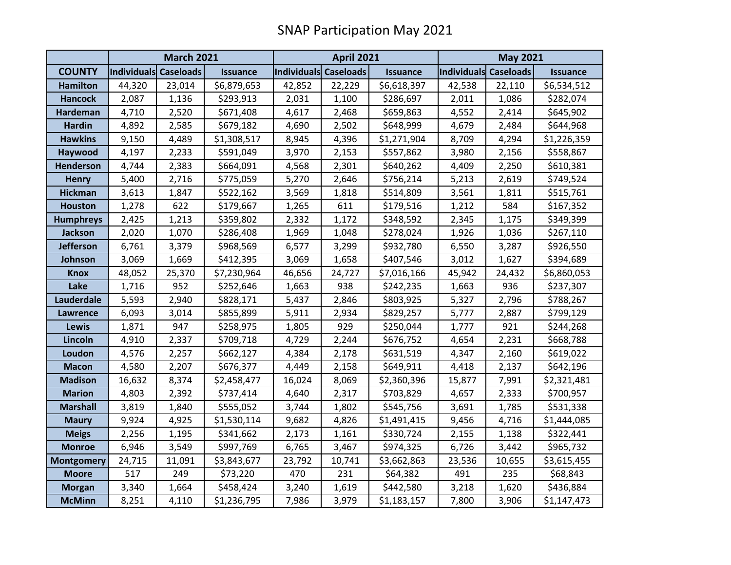|                   | <b>March 2021</b>     |        |                 | <b>April 2021</b>     |        |                 | <b>May 2021</b>       |        |                 |
|-------------------|-----------------------|--------|-----------------|-----------------------|--------|-----------------|-----------------------|--------|-----------------|
| <b>COUNTY</b>     | Individuals Caseloads |        | <b>Issuance</b> | Individuals Caseloads |        | <b>Issuance</b> | Individuals Caseloads |        | <b>Issuance</b> |
| <b>Hamilton</b>   | 44,320                | 23,014 | \$6,879,653     | 42,852                | 22,229 | \$6,618,397     | 42,538                | 22,110 | \$6,534,512     |
| <b>Hancock</b>    | 2,087                 | 1,136  | \$293,913       | 2,031                 | 1,100  | \$286,697       | 2,011                 | 1,086  | \$282,074       |
| <b>Hardeman</b>   | 4,710                 | 2,520  | \$671,408       | 4,617                 | 2,468  | \$659,863       | 4,552                 | 2,414  | \$645,902       |
| <b>Hardin</b>     | 4,892                 | 2,585  | \$679,182       | 4,690                 | 2,502  | \$648,999       | 4,679                 | 2,484  | \$644,968       |
| <b>Hawkins</b>    | 9,150                 | 4,489  | \$1,308,517     | 8,945                 | 4,396  | \$1,271,904     | 8,709                 | 4,294  | \$1,226,359     |
| Haywood           | 4,197                 | 2,233  | \$591,049       | 3,970                 | 2,153  | \$557,862       | 3,980                 | 2,156  | \$558,867       |
| <b>Henderson</b>  | 4,744                 | 2,383  | \$664,091       | 4,568                 | 2,301  | \$640,262       | 4,409                 | 2,250  | \$610,381       |
| <b>Henry</b>      | 5,400                 | 2,716  | \$775,059       | 5,270                 | 2,646  | \$756,214       | 5,213                 | 2,619  | \$749,524       |
| <b>Hickman</b>    | 3,613                 | 1,847  | \$522,162       | 3,569                 | 1,818  | \$514,809       | 3,561                 | 1,811  | \$515,761       |
| <b>Houston</b>    | 1,278                 | 622    | \$179,667       | 1,265                 | 611    | \$179,516       | 1,212                 | 584    | \$167,352       |
| <b>Humphreys</b>  | 2,425                 | 1,213  | \$359,802       | 2,332                 | 1,172  | \$348,592       | 2,345                 | 1,175  | \$349,399       |
| <b>Jackson</b>    | 2,020                 | 1,070  | \$286,408       | 1,969                 | 1,048  | \$278,024       | 1,926                 | 1,036  | \$267,110       |
| <b>Jefferson</b>  | 6,761                 | 3,379  | \$968,569       | 6,577                 | 3,299  | \$932,780       | 6,550                 | 3,287  | \$926,550       |
| Johnson           | 3,069                 | 1,669  | \$412,395       | 3,069                 | 1,658  | \$407,546       | 3,012                 | 1,627  | \$394,689       |
| <b>Knox</b>       | 48,052                | 25,370 | \$7,230,964     | 46,656                | 24,727 | \$7,016,166     | 45,942                | 24,432 | \$6,860,053     |
| Lake              | 1,716                 | 952    | \$252,646       | 1,663                 | 938    | \$242,235       | 1,663                 | 936    | \$237,307       |
| Lauderdale        | 5,593                 | 2,940  | \$828,171       | 5,437                 | 2,846  | \$803,925       | 5,327                 | 2,796  | \$788,267       |
| <b>Lawrence</b>   | 6,093                 | 3,014  | \$855,899       | 5,911                 | 2,934  | \$829,257       | 5,777                 | 2,887  | \$799,129       |
| Lewis             | 1,871                 | 947    | \$258,975       | 1,805                 | 929    | \$250,044       | 1,777                 | 921    | \$244,268       |
| Lincoln           | 4,910                 | 2,337  | \$709,718       | 4,729                 | 2,244  | \$676,752       | 4,654                 | 2,231  | \$668,788       |
| Loudon            | 4,576                 | 2,257  | \$662,127       | 4,384                 | 2,178  | \$631,519       | 4,347                 | 2,160  | \$619,022       |
| <b>Macon</b>      | 4,580                 | 2,207  | \$676,377       | 4,449                 | 2,158  | \$649,911       | 4,418                 | 2,137  | \$642,196       |
| <b>Madison</b>    | 16,632                | 8,374  | \$2,458,477     | 16,024                | 8,069  | \$2,360,396     | 15,877                | 7,991  | \$2,321,481     |
| <b>Marion</b>     | 4,803                 | 2,392  | \$737,414       | 4,640                 | 2,317  | \$703,829       | 4,657                 | 2,333  | \$700,957       |
| <b>Marshall</b>   | 3,819                 | 1,840  | \$555,052       | 3,744                 | 1,802  | \$545,756       | 3,691                 | 1,785  | \$531,338       |
| <b>Maury</b>      | 9,924                 | 4,925  | \$1,530,114     | 9,682                 | 4,826  | \$1,491,415     | 9,456                 | 4,716  | \$1,444,085     |
| <b>Meigs</b>      | 2,256                 | 1,195  | \$341,662       | 2,173                 | 1,161  | \$330,724       | 2,155                 | 1,138  | \$322,441       |
| <b>Monroe</b>     | 6,946                 | 3,549  | \$997,769       | 6,765                 | 3,467  | \$974,325       | 6,726                 | 3,442  | \$965,732       |
| <b>Montgomery</b> | 24,715                | 11,091 | \$3,843,677     | 23,792                | 10,741 | \$3,662,863     | 23,536                | 10,655 | \$3,615,455     |
| <b>Moore</b>      | 517                   | 249    | \$73,220        | 470                   | 231    | \$64,382        | 491                   | 235    | \$68,843        |
| <b>Morgan</b>     | 3,340                 | 1,664  | \$458,424       | 3,240                 | 1,619  | \$442,580       | 3,218                 | 1,620  | \$436,884       |
| <b>McMinn</b>     | 8,251                 | 4,110  | \$1,236,795     | 7,986                 | 3,979  | \$1,183,157     | 7,800                 | 3,906  | \$1,147,473     |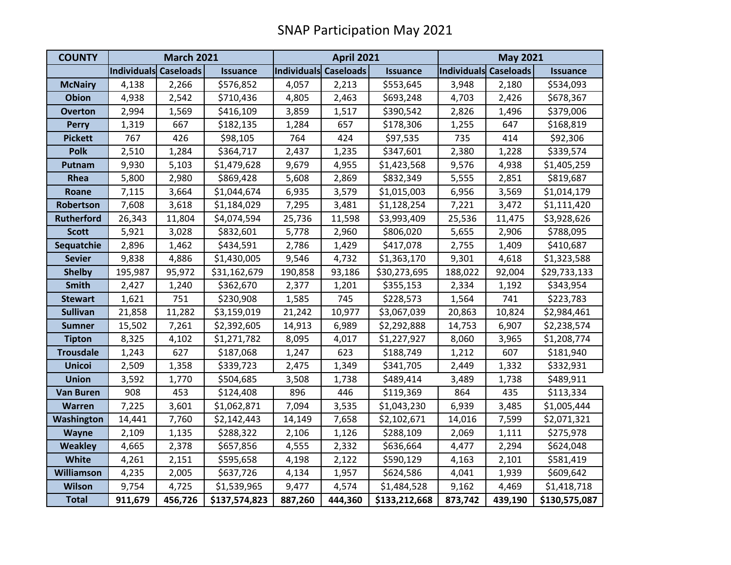| <b>COUNTY</b>     | <b>March 2021</b>     |         |                 | <b>April 2021</b>     |         |                 | <b>May 2021</b>       |         |                 |
|-------------------|-----------------------|---------|-----------------|-----------------------|---------|-----------------|-----------------------|---------|-----------------|
|                   | Individuals Caseloads |         | <b>Issuance</b> | Individuals Caseloads |         | <b>Issuance</b> | Individuals Caseloads |         | <b>Issuance</b> |
| <b>McNairy</b>    | 4,138                 | 2,266   | \$576,852       | 4,057                 | 2,213   | \$553,645       | 3,948                 | 2,180   | \$534,093       |
| <b>Obion</b>      | 4,938                 | 2,542   | \$710,436       | 4,805                 | 2,463   | \$693,248       | 4,703                 | 2,426   | \$678,367       |
| <b>Overton</b>    | 2,994                 | 1,569   | \$416,109       | 3,859                 | 1,517   | \$390,542       | 2,826                 | 1,496   | \$379,006       |
| <b>Perry</b>      | 1,319                 | 667     | \$182,135       | 1,284                 | 657     | \$178,306       | 1,255                 | 647     | \$168,819       |
| <b>Pickett</b>    | 767                   | 426     | \$98,105        | 764                   | 424     | \$97,535        | 735                   | 414     | \$92,306        |
| <b>Polk</b>       | 2,510                 | 1,284   | \$364,717       | 2,437                 | 1,235   | \$347,601       | 2,380                 | 1,228   | \$339,574       |
| Putnam            | 9,930                 | 5,103   | \$1,479,628     | 9,679                 | 4,955   | \$1,423,568     | 9,576                 | 4,938   | \$1,405,259     |
| Rhea              | 5,800                 | 2,980   | \$869,428       | 5,608                 | 2,869   | \$832,349       | 5,555                 | 2,851   | \$819,687       |
| Roane             | 7,115                 | 3,664   | \$1,044,674     | 6,935                 | 3,579   | \$1,015,003     | 6,956                 | 3,569   | \$1,014,179     |
| Robertson         | 7,608                 | 3,618   | \$1,184,029     | 7,295                 | 3,481   | \$1,128,254     | 7,221                 | 3,472   | \$1,111,420     |
| <b>Rutherford</b> | 26,343                | 11,804  | \$4,074,594     | 25,736                | 11,598  | \$3,993,409     | 25,536                | 11,475  | \$3,928,626     |
| <b>Scott</b>      | 5,921                 | 3,028   | \$832,601       | 5,778                 | 2,960   | \$806,020       | 5,655                 | 2,906   | \$788,095       |
| Sequatchie        | 2,896                 | 1,462   | \$434,591       | 2,786                 | 1,429   | \$417,078       | 2,755                 | 1,409   | \$410,687       |
| <b>Sevier</b>     | 9,838                 | 4,886   | \$1,430,005     | 9,546                 | 4,732   | \$1,363,170     | 9,301                 | 4,618   | \$1,323,588     |
| <b>Shelby</b>     | 195,987               | 95,972  | \$31,162,679    | 190,858               | 93,186  | \$30,273,695    | 188,022               | 92,004  | \$29,733,133    |
| <b>Smith</b>      | 2,427                 | 1,240   | \$362,670       | 2,377                 | 1,201   | \$355,153       | 2,334                 | 1,192   | \$343,954       |
| <b>Stewart</b>    | 1,621                 | 751     | \$230,908       | 1,585                 | 745     | \$228,573       | 1,564                 | 741     | \$223,783       |
| <b>Sullivan</b>   | 21,858                | 11,282  | \$3,159,019     | 21,242                | 10,977  | \$3,067,039     | 20,863                | 10,824  | \$2,984,461     |
| <b>Sumner</b>     | 15,502                | 7,261   | \$2,392,605     | 14,913                | 6,989   | \$2,292,888     | 14,753                | 6,907   | \$2,238,574     |
| <b>Tipton</b>     | 8,325                 | 4,102   | \$1,271,782     | 8,095                 | 4,017   | \$1,227,927     | 8,060                 | 3,965   | \$1,208,774     |
| <b>Trousdale</b>  | 1,243                 | 627     | \$187,068       | 1,247                 | 623     | \$188,749       | 1,212                 | 607     | \$181,940       |
| <b>Unicoi</b>     | 2,509                 | 1,358   | \$339,723       | 2,475                 | 1,349   | \$341,705       | 2,449                 | 1,332   | \$332,931       |
| <b>Union</b>      | 3,592                 | 1,770   | \$504,685       | 3,508                 | 1,738   | \$489,414       | 3,489                 | 1,738   | \$489,911       |
| <b>Van Buren</b>  | 908                   | 453     | \$124,408       | 896                   | 446     | \$119,369       | 864                   | 435     | \$113,334       |
| <b>Warren</b>     | 7,225                 | 3,601   | \$1,062,871     | 7,094                 | 3,535   | \$1,043,230     | 6,939                 | 3,485   | \$1,005,444     |
| Washington        | 14,441                | 7,760   | \$2,142,443     | 14,149                | 7,658   | \$2,102,671     | 14,016                | 7,599   | \$2,071,321     |
| Wayne             | 2,109                 | 1,135   | \$288,322       | 2,106                 | 1,126   | \$288,109       | 2,069                 | 1,111   | \$275,978       |
| <b>Weakley</b>    | 4,665                 | 2,378   | \$657,856       | 4,555                 | 2,332   | \$636,664       | 4,477                 | 2,294   | \$624,048       |
| <b>White</b>      | 4,261                 | 2,151   | \$595,658       | 4,198                 | 2,122   | \$590,129       | 4,163                 | 2,101   | \$581,419       |
| <b>Williamson</b> | 4,235                 | 2,005   | \$637,726       | 4,134                 | 1,957   | \$624,586       | 4,041                 | 1,939   | \$609,642       |
| <b>Wilson</b>     | 9,754                 | 4,725   | \$1,539,965     | 9,477                 | 4,574   | \$1,484,528     | 9,162                 | 4,469   | \$1,418,718     |
| <b>Total</b>      | 911,679               | 456,726 | \$137,574,823   | 887,260               | 444,360 | \$133,212,668   | 873,742               | 439,190 | \$130,575,087   |